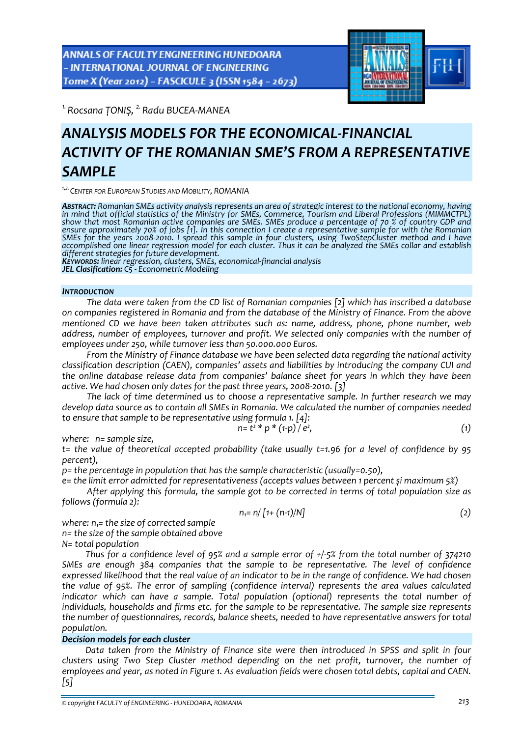ANNALS OF FACULTY ENGINEERING HUNEDOARA - INTERNATIONAL JOURNAL OF ENGINEERING Tome X (Year 2012) - FASCICULE 3 (ISSN 1584 - 2673)



*1.Rocsana ȚONIŞ, 2.Radu BUCEA‐MANEA* 

# *ANALYSIS MODELS FOR THE ECONOMICAL‐FINANCIAL ACTIVITY OF THE ROMANIAN SME'S FROM A REPRESENTATIVE SAMPLE*

*1,2.CENTER FOR EUROPEAN STUDIES AND MOBILITY, ROMANIA*

**Abstract:** Romanian SMEs activity analysis represents an area of strategic interest to the national economy, having<br>in mind that official statistics of the Ministry for SMEs, Commerce, Tourism and Liberal Professions (MIM ensure approximately 70% of jobs [1]. In this connection I create a representative sample for with the Romanian SMEs for the years 2008-2010. I spread this sample in four clusters, using TwoStepCluster method and I have accomplished one linear regression model for each cluster. Thus it can be analyzed the SMEs collar and establish<br>different strategies for future development.

KEYWORDS: linear regression, clusters, SMEs, economical-financial analysis

*JEL Clasification: C5 ‐ Econometric Modeling*

#### *INTRODUCTION*

*The data were taken from the CD list of Romanian companies [2] which has inscribed a database on companies registered in Romania and from the database of the Ministry of Finance. From the above mentioned CD we have been taken attributes such as: name, address, phone, phone number, web address, number of employees, turnover and profit. We selected only companies with the number of employees under 250, while turnover less than 50.000.000 Euros.* 

*From the Ministry of Finance database we have been selected data regarding the national activity classification description (CAEN), companies' assets and liabilities by introducing the company CUI and the online database release data from companies' balance sheet for years in which they have been active. We had chosen only dates for the past three years, 2008‐2010. [3]*

*The lack of time determined us to choose a representative sample. In further research we may develop data source as to contain all SMEs in Romania. We calculated the number of companies needed to ensure that sample to be representative using formula 1. [4]:*

$$
n = t^2 * p * (1-p) / e^2,
$$
 (1)

*where:*  $n=$  *sample size*.

*t= the value of theoretical accepted probability (take usually t=1.96 for a level of confidence by 95 percent),*

*p= the percentage in population that has the sample characteristic (usually=0.50),*

*e= the limit error admitted for representativeness (accepts values between 1 percent și maximum 5%)* 

*After applying this formula, the sample got to be corrected in terms of total population size as follows (formula 2):*

$$
n_1 = n / [1 + (n-1)/N]
$$
 (2)

*where:*  $n_i$ = *the size of corrected sample n= the size of the sample obtained above N= total population*

Thus for a confidence level of 95% and a sample error of  $+/-5$ % from the total number of 374210 *SMEs are enough 384 companies that the sample to be representative. The level of confidence* expressed likelihood that the real value of an indicator to be in the range of confidence. We had chosen *the value of 95%. The error of sampling (confidence interval) represents the area values calculated indicator which can have a sample. Total population (optional) represents the total number of individuals, households and firms etc. for the sample to be representative. The sample size represents the number of questionnaires, records, balance sheets, needed to have representative answers for total population.*

# *Decision models for each cluster*

*Data taken from the Ministry of Finance site were then introduced in SPSS and split in four clusters using Two Step Cluster method depending on the net profit, turnover, the number of* employees and year, as noted in Figure 1. As evaluation fields were chosen total debts, capital and CAEN. *[5]*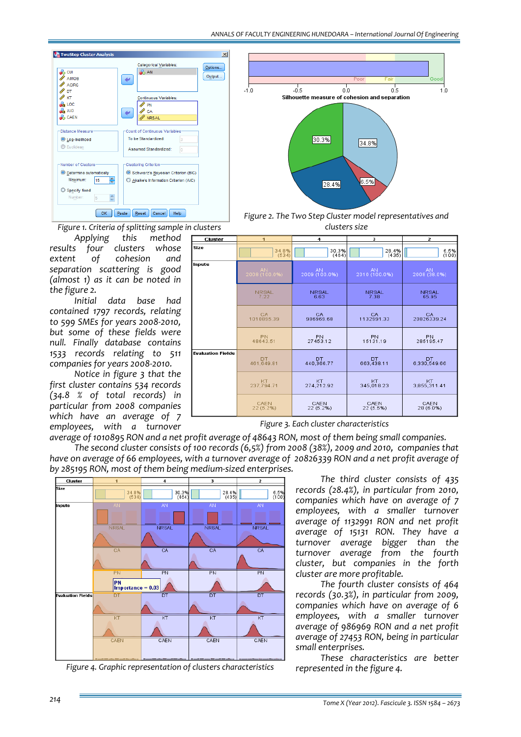

*Figure 1. Criteria of splitting sample in clusters*

*Applying this method results four clusters whose extent of cohesion and separation scattering is good (almost 1) as it can be noted in the figure 2.*

*Initial data base had contained 1797 records, relating to 599 SMEs for years 2008‐2010, but some of these fields were null. Finally database contains 1533 records relating to 511 companies for years 2008‐2010.* 

*Notice in figure 3 that the first cluster contains 534 records (34.8 % of total records) in particular from 2008 companies which have an average of 7 employees, with a turnover*





| Cluster          | $\mathbf{1}$        | 4                          | 3                          | $\overline{2}$            |  |
|------------------|---------------------|----------------------------|----------------------------|---------------------------|--|
| iize             | 34.8%               | 30.3%                      | 28.4%                      | 6.5%                      |  |
|                  | (534)               | (464)                      | (435)                      | (100)                     |  |
| nputs            | AN<br>2008 (100.0%) | <b>AN</b><br>2009 (100.0%) | <b>AN</b><br>2010 (100.0%) | <b>AN</b><br>2008 (38.0%) |  |
|                  | <b>NRSAL</b>        | <b>NRSAL</b>               | <b>NRSAL</b>               | <b>NRSAL</b>              |  |
|                  | 7.22                | 6.63                       | 7.38                       | 65.95                     |  |
|                  | CA.                 | CA.                        | CA                         | CA.                       |  |
|                  | 1010895.39          | 986969.68                  | 1132991.33                 | 20826339.24               |  |
|                  | <b>PN</b>           | PN                         | PN                         | PN                        |  |
|                  | 48643.51            | 27453.12                   | 15131.19                   | 285195.47                 |  |
| valuation Fields | DT.                 | DT.                        | DT.                        | <b>DT</b>                 |  |
|                  | 461.649.81          | 440,366.77                 | 663,438.11                 | 6,330,549.66              |  |
|                  | KT.                 | KT                         | KT                         | KT                        |  |
|                  | 237,794.71          | 274,212.92                 | 345,018.23                 | 3,855,311.41              |  |
|                  | CAEN                | CAEN                       | CAEN                       | CAEN                      |  |
|                  | 22 (5.2%)           | 22 (5.2%)                  | 22 (5.5%)                  | 28 (6.0%)                 |  |

*Figure 3. Each cluster characteristics*

*average of 1010895 RON and a net profit average of 48643 RON, most of them being small companies.*

*The second cluster consists of 100 records (6,5%) from 2008 (38%), 2009 and 2010, companies that* have on average of 66 employees, with a turnover average of 20826339 RON and a net profit average of *by 285195 RON, most of them being medium‐sized enterprises.* 



*Figure 4. Graphic representation of clusters characteristics*

*The third cluster consists of 435 records (28.4%), in particular from 2010, companies which have on average of 7 employees, with a smaller turnover average of 1132991 RON and net profit average of 15131 RON. They have a turnover average bigger than the turnover average from the fourth cluster, but companies in the forth cluster are more profitable.* 

*The fourth cluster consists of 464 records (30.3%), in particular from 2009, companies which have on average of 6 employees, with a smaller turnover average of 986969 RON and a net profit average of 27453 RON, being in particular small enterprises.*

*These characteristics are better represented in the figure 4.*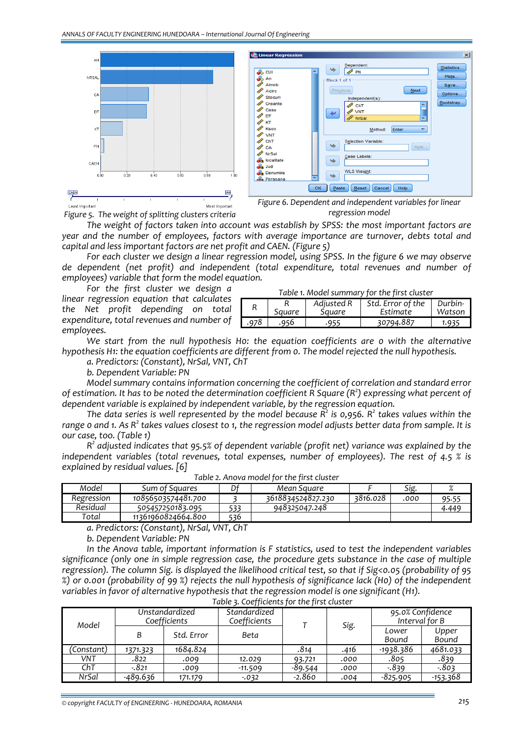

*Figure 5. The weight of splitting clusters criteria*

*regression model*

*The weight of factors taken into account was establish by SPSS: the most important factors are year and the number of employees, factors with average importance are turnover, debts total and capital and less important factors are net profit and CAEN. (Figure 5)*

*For each cluster we design a linear regression model, using SPSS. In the figure 6 we may observe de dependent (net profit) and independent (total expenditure, total revenues and number of employees) variable that form the model equation.*

*For the first cluster we design a linear regression equation that calculates the Net profit depending on total expenditure, total revenues and number of employees.*

|      | Table 1. Model summary for the first cluster |                      |                               |                   |  |  |  |  |  |
|------|----------------------------------------------|----------------------|-------------------------------|-------------------|--|--|--|--|--|
|      | Square                                       | Adjusted R<br>Square | Std. Error of the<br>Estimate | Durbin-<br>Watson |  |  |  |  |  |
|      |                                              |                      |                               |                   |  |  |  |  |  |
| .978 | .956                                         | -955                 | 30794.887                     | 1.935             |  |  |  |  |  |

*We start from the null hypothesis H0: the equation coefficients are 0 with the alternative hypothesis H1: the equation coefficients are different from 0. The model rejected the null hypothesis.*

*a. Predictors: (Constant), NrSal, VNT, ChT*

*b. Dependent Variable: PN*

*Model summary contains information concerning the coefficient of correlation and standard error* of estimation. It has to be noted the determination coefficient R Square  $(R^2)$  expressing what percent of *dependent variable is explained by independent variable, by the regression equation.* 

*The data series is well represented by the model because R2 is 0,956. R2 takes values within the* range o and 1. As  $R^2$  takes values closest to 1, the regression model adjusts better data from sample. It is *our case, too. (Table 1)*

*R2 adjusted indicates that 95.5% of dependent variable (profit net) variance was explained by the independent variables (total revenues, total expenses, number of employees). The rest of 4.5 % is explained by residual values. [6]*

| Model      | Sum of Squares     |     | Mean Sauare       |          | Sig. |       |
|------------|--------------------|-----|-------------------|----------|------|-------|
| Regression | 10856503574481.700 |     | 3618834524827.230 | 3816.028 | .000 | 95.55 |
| Residual   | 505457250183.095   | 533 | 948325047.248     |          |      | 4.44° |
| Total      | 11361960824664.800 | 536 |                   |          |      |       |

*Table 2. Anova model for the first cluster*

*a. Predictors: (Constant), NrSal, VNT, ChT*

*b. Dependent Variable: PN*

*In the Anova table, important information is F statistics, used to test the independent variables significance (only one in simple regression case, the procedure gets substance in the case of multiple* regression). The column Sig. is displayed the likelihood critical test, so that if Sig<0.05 (probability of 95 %) or 0.001 (probability of 99 %) rejects the null hypothesis of significance lack (H0) of the independent *variables in favor of alternative hypothesis that the regression model is one significant (H1).*

| Model      | Unstandardized<br>Coefficients |            | Standardized<br>Coefficients |          | Sig. | 95.0% Confidence<br>Interval for B |                |
|------------|--------------------------------|------------|------------------------------|----------|------|------------------------------------|----------------|
|            | B                              | Std. Error | Beta                         |          |      | Lower<br>Bound                     | Upper<br>Bound |
| 'Constant) | 1371.323                       | 1684.824   |                              | .814     | .416 | -1938.386                          | 4681.033       |
| VNT        | .822                           | .009       | 12.029                       | 93.721   | .000 | .805                               | .839           |
| ChT        | $-.821$                        | .009       | $-11.509$                    | -89.544  | .000 | $-839$                             | $-803$         |
| NrSal      | -489.636                       | 171.179    | $-0.032$                     | $-2.860$ | .004 | $-825.905$                         | -153.368       |

*Table 3. Coefficients for the first cluster*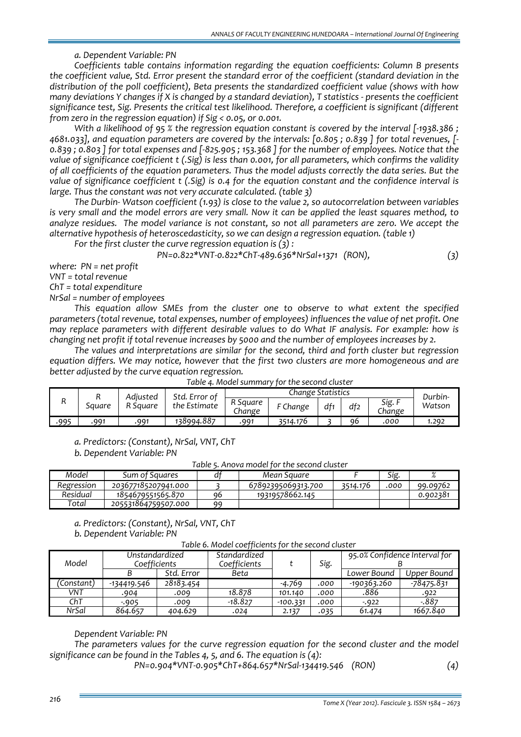### *a. Dependent Variable: PN*

*Coefficients table contains information regarding the equation coefficients: Column B presents the coefficient value, Std. Error present the standard error of the coefficient (standard deviation in the distribution of the poll coefficient), Beta presents the standardized coefficient value (shows with how* many deviations Y changes if X is changed by a standard deviation), T statistics - presents the coefficient *significance test, Sig. Presents the critical test likelihood. Therefore, a coefficient is significant (different from zero in the regression equation) if Sig < 0.05, or 0.001.* 

With a likelihood of 95 % the regression equation constant is covered by the interval  $[-1938.386;$ 4681.033], and equation parameters are covered by the intervals: [0.805; 0.839] for total revenues, [-0.839 : 0.803 I for total expenses and [-825.905 : 153.368 I for the number of employees. Notice that the value of significance coefficient t (.Sig) is less than 0.001, for all parameters, which confirms the validity *of all coefficients of the equation parameters. Thus the model adjusts correctly the data series. But the* value of significance coefficient t (.Sig) is 0.4 for the equation constant and the confidence interval is *large. Thus the constant was not very accurate calculated. (table 3)*

*The Durbin‐ Watson coefficient (1.93) is close to the value 2, so autocorrelation between variables* is very small and the model errors are very small. Now it can be applied the least squares method, to analyze residues. The model variance is not constant, so not all parameters are zero. We accept the *alternative hypothesis of heteroscedasticity, so we can design a regression equation. (table 1)*

*For the first cluster the curve regression equation is (3) :*

*PN=0.822\*VNT‐0.822\*ChT‐489.636\*NrSal+1371 (RON), (3)*

*where: PN = net profit*

*VNT = total revenue*

*ChT = total expenditure* 

*NrSal = number of employees*

*This equation allow SMEs from the cluster one to observe to what extent the specified parameters (total revenue, total expenses, number of employees) influences the value of net profit. One may replace parameters with different desirable values to do What IF analysis. For example: how is* changing net profit if total revenue increases by 5000 and the number of employees increases by 2.

*The values and interpretations are similar for the second, third and forth cluster but regression equation differs. We may notice, however that the first two clusters are more homogeneous and are better adjusted by the curve equation regression.*

| R    |        | Adiusted | Std. Error of |                    | Change Statistics |     |     |                |                   |
|------|--------|----------|---------------|--------------------|-------------------|-----|-----|----------------|-------------------|
|      | Sauare | R Sauare | the Estimate  | R Sauare<br>.hange | F Change          | df1 | df2 | Sig.<br>Change | Durbin-<br>Watson |
| .995 | 991    | .991     | 138994.887    | 991                | 3514.176          |     | ٩6  | .000           | 1.292             |

| Table 4. Model summary for the second cluster |  |  |
|-----------------------------------------------|--|--|
|-----------------------------------------------|--|--|

*a. Predictors: (Constant), NrSal, VNT, ChT*

*b. Dependent Variable: PN*

*Table 5. Anova model for the second cluster*

| Model      | Sum of Sauares      |    | Mean Sauare        |          | Sig. | $\sqrt{2}$ |
|------------|---------------------|----|--------------------|----------|------|------------|
| Regression | 203677185207941.000 |    | 67892395069313.700 | 3514.176 | .000 | 99.09762   |
| Residual   | 1854679551565.870   | 96 | 19319578662.145    |          |      | 0.902381   |
| Total      | 205531864759507.000 | ۵q |                    |          |      |            |

*a. Predictors: (Constant), NrSal, VNT, ChT*

*b. Dependent Variable: PN*

*Table 6. Model coefficients for the second cluster*

| Model      | Unstandardized<br>Coefficients |            | Standardized<br>Coefficients |            | Sig. | 95.0% Confidence Interval for |             |  |
|------------|--------------------------------|------------|------------------------------|------------|------|-------------------------------|-------------|--|
|            |                                | Std. Error | Beta                         |            |      | Lower Bound                   | Upper Bound |  |
| 'Constant) | -134419.546                    | 28183.454  |                              | -4.769     | .000 | -190363.260                   | -78475.831  |  |
| VNT        | .904                           | .009       | 18.878                       | 101.140    | .000 | .886                          | .922        |  |
| ChT        | $-905$                         | .009       | $-18.827$                    | $-100.331$ | .000 | $-922$                        | $-887$      |  |
| NrSal      | 864.657                        | 404.629    | .024                         | 2.137      | .035 | 61.474                        | 1667.840    |  |

# *Dependent Variable: PN*

*The parameters values for the curve regression equation for the second cluster and the model significance can be found in the Tables 4, 5, and 6. The equation is (4):*

*PN=0.904\*VNT‐0.905\*ChT+864.657\*NrSal‐134419.546 (RON) (4)*